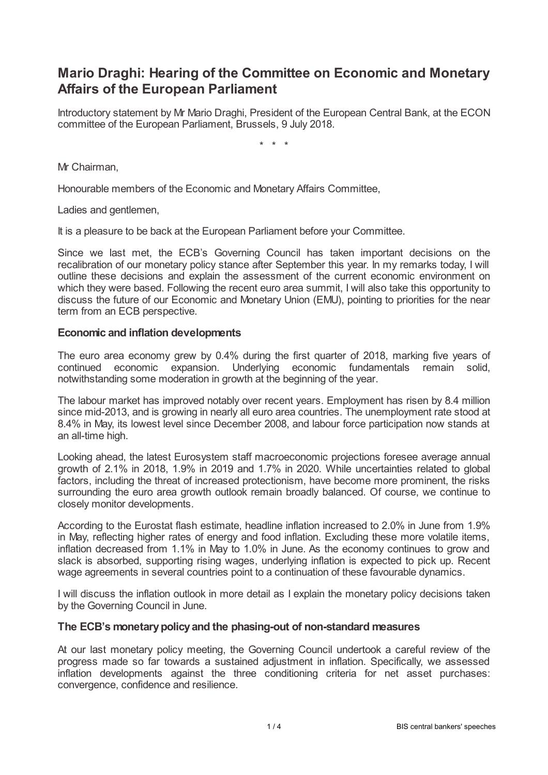# **Mario Draghi: Hearing of the Committee on Economic and Monetary Affairs of the European Parliament**

Introductory statement by Mr Mario Draghi, President of the European Central Bank, at the ECON committee of the European Parliament, Brussels, 9 July 2018.

\* \* \*

Mr Chairman,

Honourable members of the Economic and Monetary Affairs Committee,

Ladies and gentlemen,

It is a pleasure to be back at the European Parliament before your Committee.

Since we last met, the ECB's Governing Council has taken important decisions on the recalibration of our monetary policy stance after September this year. In my remarks today, I will outline these decisions and explain the assessment of the current economic environment on which they were based. Following the recent euro area summit, I will also take this opportunity to discuss the future of our Economic and Monetary Union (EMU), pointing to priorities for the near term from an ECB perspective.

## **Economic and inflation developments**

The euro area economy grew by 0.4% during the first quarter of 2018, marking five years of continued economic expansion. Underlying economic fundamentals remain solid, notwithstanding some moderation in growth at the beginning of the year.

The labour market has improved notably over recent years. Employment has risen by 8.4 million since mid-2013, and is growing in nearly all euro area countries. The unemployment rate stood at 8.4% in May, its lowest level since December 2008, and labour force participation now stands at an all-time high.

Looking ahead, the latest Eurosystem staff macroeconomic projections foresee average annual growth of 2.1% in 2018, 1.9% in 2019 and 1.7% in 2020. While uncertainties related to global factors, including the threat of increased protectionism, have become more prominent, the risks surrounding the euro area growth outlook remain broadly balanced. Of course, we continue to closely monitor developments.

According to the Eurostat flash estimate, headline inflation increased to 2.0% in June from 1.9% in May, reflecting higher rates of energy and food inflation. Excluding these more volatile items, inflation decreased from 1.1% in May to 1.0% in June. As the economy continues to grow and slack is absorbed, supporting rising wages, underlying inflation is expected to pick up. Recent wage agreements in several countries point to a continuation of these favourable dynamics.

I will discuss the inflation outlook in more detail as I explain the monetary policy decisions taken by the Governing Council in June.

## **The ECB's monetarypolicyand the phasing-out of non-standard measures**

At our last monetary policy meeting, the Governing Council undertook a careful review of the progress made so far towards a sustained adjustment in inflation. Specifically, we assessed inflation developments against the three conditioning criteria for net asset purchases: convergence, confidence and resilience.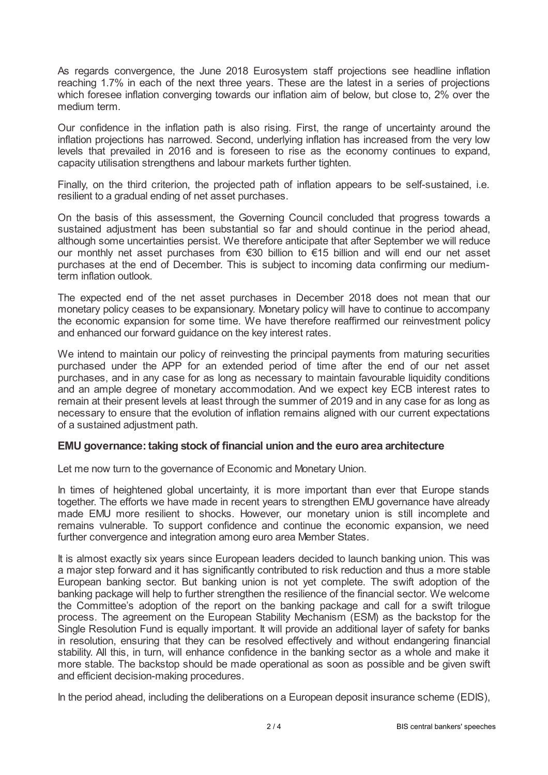As regards convergence, the June 2018 Eurosystem staff projections see headline inflation reaching 1.7% in each of the next three years. These are the latest in a series of projections which foresee inflation converging towards our inflation aim of below, but close to, 2% over the medium term.

Our confidence in the inflation path is also rising. First, the range of uncertainty around the inflation projections has narrowed. Second, underlying inflation has increased from the very low levels that prevailed in 2016 and is foreseen to rise as the economy continues to expand, capacity utilisation strengthens and labour markets further tighten.

Finally, on the third criterion, the projected path of inflation appears to be self-sustained, i.e. resilient to a gradual ending of net asset purchases.

On the basis of this assessment, the Governing Council concluded that progress towards a sustained adjustment has been substantial so far and should continue in the period ahead, although some uncertainties persist. We therefore anticipate that after September we will reduce our monthly net asset purchases from €30 billion to €15 billion and will end our net asset purchases at the end of December. This is subject to incoming data confirming our mediumterm inflation outlook.

The expected end of the net asset purchases in December 2018 does not mean that our monetary policy ceases to be expansionary. Monetary policy will have to continue to accompany the economic expansion for some time. We have therefore reaffirmed our reinvestment policy and enhanced our forward guidance on the key interest rates.

We intend to maintain our policy of reinvesting the principal payments from maturing securities purchased under the APP for an extended period of time after the end of our net asset purchases, and in any case for as long as necessary to maintain favourable liquidity conditions and an ample degree of monetary accommodation. And we expect key ECB interest rates to remain at their present levels at least through the summer of 2019 and in any case for as long as necessary to ensure that the evolution of inflation remains aligned with our current expectations of a sustained adjustment path.

## **EMU governance: taking stock of financial union and the euro area architecture**

Let me now turn to the governance of Economic and Monetary Union.

In times of heightened global uncertainty, it is more important than ever that Europe stands together. The efforts we have made in recent years to strengthen EMU governance have already made EMU more resilient to shocks. However, our monetary union is still incomplete and remains vulnerable. To support confidence and continue the economic expansion, we need further convergence and integration among euro area Member States.

It is almost exactly six years since European leaders decided to launch banking union. This was a major step forward and it has significantly contributed to risk reduction and thus a more stable European banking sector. But banking union is not yet complete. The swift adoption of the banking package will help to further strengthen the resilience of the financial sector. We welcome the Committee's adoption of the report on the banking package and call for a swift trilogue process. The agreement on the European Stability Mechanism (ESM) as the backstop for the Single Resolution Fund is equally important. It will provide an additional layer of safety for banks in resolution, ensuring that they can be resolved effectively and without endangering financial stability. All this, in turn, will enhance confidence in the banking sector as a whole and make it more stable. The backstop should be made operational as soon as possible and be given swift and efficient decision-making procedures.

In the period ahead, including the deliberations on a European deposit insurance scheme (EDIS),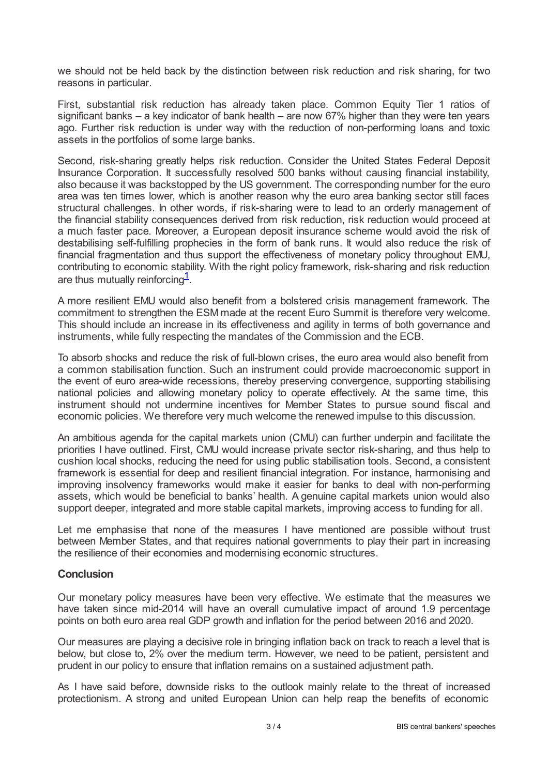we should not be held back by the distinction between risk reduction and risk sharing, for two reasons in particular.

First, substantial risk reduction has already taken place. Common Equity Tier 1 ratios of significant banks – a key indicator of bank health – are now 67% higher than they were ten years ago. Further risk reduction is under way with the reduction of non-performing loans and toxic assets in the portfolios of some large banks.

Second, risk-sharing greatly helps risk reduction. Consider the United States Federal Deposit Insurance Corporation. It successfully resolved 500 banks without causing financial instability, also because it was backstopped by the US government. The corresponding number for the euro area was ten times lower, which is another reason why the euro area banking sector still faces structural challenges. In other words, if risk-sharing were to lead to an orderly management of the financial stability consequences derived from risk reduction, risk reduction would proceed at a much faster pace. Moreover, a European deposit insurance scheme would avoid the risk of destabilising self-fulfilling prophecies in the form of bank runs. It would also reduce the risk of financial fragmentation and thus support the effectiveness of monetary policy throughout EMU, contributing to economic stability. With the right policy framework, risk-sharing and risk reduction are thus mutually reinforcing $\frac{1}{2}$  $\frac{1}{2}$  $\frac{1}{2}$ .

<span id="page-2-0"></span>A more resilient EMU would also benefit from a bolstered crisis management framework. The commitment to strengthen the ESM made at the recent Euro Summit is therefore very welcome. This should include an increase in its effectiveness and agility in terms of both governance and instruments, while fully respecting the mandates of the Commission and the ECB.

To absorb shocks and reduce the risk of full-blown crises, the euro area would also benefit from a common stabilisation function. Such an instrument could provide macroeconomic support in the event of euro area-wide recessions, thereby preserving convergence, supporting stabilising national policies and allowing monetary policy to operate effectively. At the same time, this instrument should not undermine incentives for Member States to pursue sound fiscal and economic policies. We therefore very much welcome the renewed impulse to this discussion.

An ambitious agenda for the capital markets union (CMU) can further underpin and facilitate the priorities I have outlined. First, CMU would increase private sector risk-sharing, and thus help to cushion local shocks, reducing the need for using public stabilisation tools. Second, a consistent framework is essential for deep and resilient financial integration. For instance, harmonising and improving insolvency frameworks would make it easier for banks to deal with non-performing assets, which would be beneficial to banks' health. A genuine capital markets union would also support deeper, integrated and more stable capital markets, improving access to funding for all.

Let me emphasise that none of the measures I have mentioned are possible without trust between Member States, and that requires national governments to play their part in increasing the resilience of their economies and modernising economic structures.

## **Conclusion**

Our monetary policy measures have been very effective. We estimate that the measures we have taken since mid-2014 will have an overall cumulative impact of around 1.9 percentage points on both euro area real GDP growth and inflation for the period between 2016 and 2020.

Our measures are playing a decisive role in bringing inflation back on track to reach a level that is below, but close to, 2% over the medium term. However, we need to be patient, persistent and prudent in our policy to ensure that inflation remains on a sustained adjustment path.

As I have said before, downside risks to the outlook mainly relate to the threat of increased protectionism. A strong and united European Union can help reap the benefits of economic